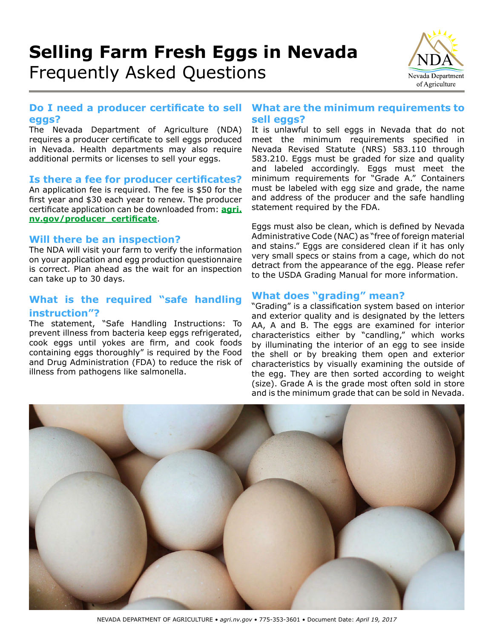# **Selling Farm Fresh Eggs in Nevada** Frequently Asked Questions



## **Do I need a producer certificate to sell eggs?**

The Nevada Department of Agriculture (NDA) requires a producer certificate to sell eggs produced in Nevada. Health departments may also require additional permits or licenses to sell your eggs.

#### **Is there a fee for producer certificates?**

An application fee is required. The fee is \$50 for the first year and \$30 each year to renew. The producer certificate application can be downloaded from: **[agri.](http://agri.nv.gov/producer_certificate) [nv.gov/producer\\_certificate](http://agri.nv.gov/producer_certificate)**.

## **Will there be an inspection?**

The NDA will visit your farm to verify the information on your application and egg production questionnaire is correct. Plan ahead as the wait for an inspection can take up to 30 days.

# **What is the required "safe handling instruction"?**

The statement, "Safe Handling Instructions: To prevent illness from bacteria keep eggs refrigerated, cook eggs until yokes are firm, and cook foods containing eggs thoroughly" is required by the Food and Drug Administration (FDA) to reduce the risk of illness from pathogens like salmonella.

## **What are the minimum requirements to sell eggs?**

It is unlawful to sell eggs in Nevada that do not meet the minimum requirements specified in Nevada Revised Statute (NRS) 583.110 through 583.210. Eggs must be graded for size and quality and labeled accordingly. Eggs must meet the minimum requirements for "Grade A." Containers must be labeled with egg size and grade, the name and address of the producer and the safe handling statement required by the FDA.

Eggs must also be clean, which is defined by Nevada Administrative Code (NAC) as "free of foreign material and stains." Eggs are considered clean if it has only very small specs or stains from a cage, which do not detract from the appearance of the egg. Please refer to the USDA Grading Manual for more information.

# **What does "grading" mean?**

"Grading" is a classification system based on interior and exterior quality and is designated by the letters AA, A and B. The eggs are examined for interior characteristics either by "candling," which works by illuminating the interior of an egg to see inside the shell or by breaking them open and exterior characteristics by visually examining the outside of the egg. They are then sorted according to weight (size). Grade A is the grade most often sold in store and is the minimum grade that can be sold in Nevada.